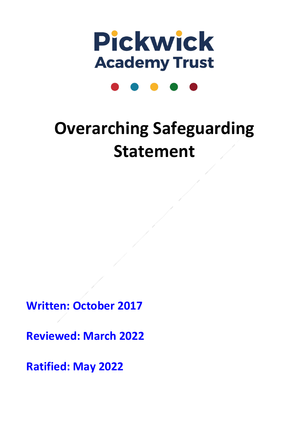

# **Overarching Safeguarding Statement**

**Written: October 2017**

**Reviewed: March 2022**

**Ratified: May 2022**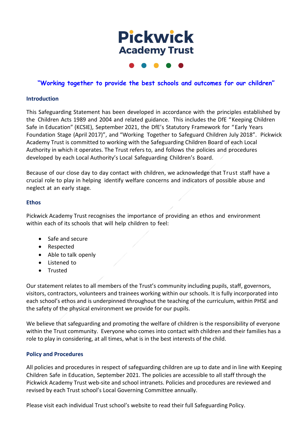# **Pickwick Academy Trust**

# **"Working together to provide the best schools and outcomes for our children"**

#### **Introduction**

This Safeguarding Statement has been developed in accordance with the principles established by the Children Acts 1989 and 2004 and related guidance. This includes the DfE "Keeping Children Safe in Education" (KCSIE), September 2021, the DfE's Statutory Framework for "Early Years Foundation Stage (April 2017)", and "Working Together to Safeguard Children July 2018". Pickwick Academy Trust is committed to working with the Safeguarding Children Board of each Local Authority in which it operates. The Trust refers to, and follows the policies and procedures developed by each Local Authority's Local Safeguarding Children's Board.

Because of our close day to day contact with children, we acknowledge that Trust staff have a crucial role to play in helping identify welfare concerns and indicators of possible abuse and neglect at an early stage*.*

#### **Ethos**

Pickwick Academy Trust recognises the importance of providing an ethos and environment within each of its schools that will help children to feel:

- Safe and secure
- Respected
- Able to talk openly
- Listened to
- Trusted

Our statement relates to all members of the Trust's community including pupils, staff, governors, visitors, contractors, volunteers and trainees working within our schools. It is fully incorporated into each school's ethos and is underpinned throughout the teaching of the curriculum, within PHSE and the safety of the physical environment we provide for our pupils.

We believe that safeguarding and promoting the welfare of children is the responsibility of everyone within the Trust community. Everyone who comes into contact with children and their families has a role to play in considering, at all times, what is in the best interests of the child.

#### **Policy and Procedures**

All policies and procedures in respect of safeguarding children are up to date and in line with Keeping Children Safe in Education, September 2021. The policies are accessible to all staff through the Pickwick Academy Trust web-site and school intranets. Policies and procedures are reviewed and revised by each Trust school's Local Governing Committee annually.

Please visit each individual Trust school's website to read their full Safeguarding Policy.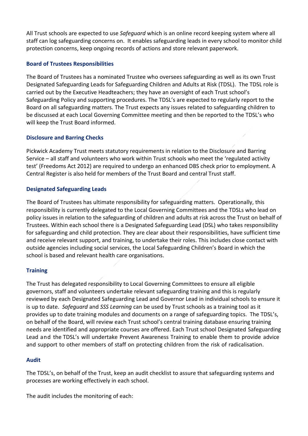All Trust schools are expected to use *Safeguard* which is an online record keeping system where all staff can log safeguarding concerns on. It enables safeguarding leads in every school to monitor child protection concerns, keep ongoing records of actions and store relevant paperwork.

# **Board of Trustees Responsibilities**

The Board of Trustees has a nominated Trustee who oversees safeguarding as well as its own Trust Designated Safeguarding Leads for Safeguarding Children and Adults at Risk (TDSL). The TDSL role is carried out by the Executive Headteachers; they have an oversight of each Trust school's Safeguarding Policy and supporting procedures. The TDSL's are expected to regularly report to the Board on all safeguarding matters. The Trust expects any issues related to safeguarding children to be discussed at each Local Governing Committee meeting and then be reported to the TDSL's who will keep the Trust Board informed.

# **Disclosure and Barring Checks**

Pickwick Academy Trust meets statutory requirements in relation to the Disclosure and Barring Service – all staff and volunteers who work within Trust schools who meet the 'regulated activity test' (Freedoms Act 2012) are required to undergo an enhanced DBS check prior to employment. A Central Register is also held for members of the Trust Board and central Trust staff.

#### **Designated Safeguarding Leads**

The Board of Trustees has ultimate responsibility for safeguarding matters. Operationally, this responsibility is currently delegated to the Local Governing Committees and the TDSLs who lead on policy issues in relation to the safeguarding of children and adults at risk across the Trust on behalf of Trustees. Within each school there is a Designated Safeguarding Lead (DSL) who takes responsibility for safeguarding and child protection. They are clear about their responsibilities, have sufficient time and receive relevant support, and training, to undertake their roles. This includes close contact with outside agencies including social services, the Local Safeguarding Children's Board in which the school is based and relevant health care organisations.

# **Training**

The Trust has delegated responsibility to Local Governing Committees to ensure all eligible governors, staff and volunteers undertake relevant safeguarding training and this is regularly reviewed by each Designated Safeguarding Lead and Governor Lead in individual schools to ensure it is up to date. *Safeguard* and *SSS Learning* can be used by Trust schools as a training tool as it provides up to date training modules and documents on a range of safeguarding topics. The TDSL's, on behalf of the Board, will review each Trust school's central training database ensuring training needs are identified and appropriate courses are offered. Each Trust school Designated Safeguarding Lead and the TDSL's will undertake Prevent Awareness Training to enable them to provide advice and support to other members of staff on protecting children from the risk of radicalisation.

#### **Audit**

The TDSL's, on behalf of the Trust, keep an audit checklist to assure that safeguarding systems and processes are working effectively in each school.

The audit includes the monitoring of each: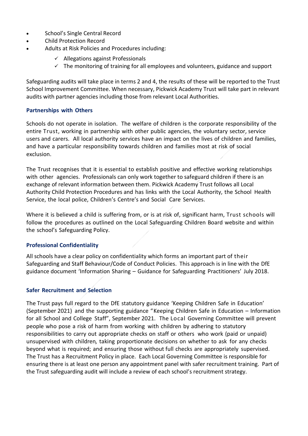- School's Single Central Record
- Child Protection Record
- Adults at Risk Policies and Procedures including:
	- $\checkmark$  Allegations against Professionals
	- $\checkmark$  The monitoring of training for all employees and volunteers, guidance and support

Safeguarding audits will take place in terms 2 and 4, the results of these will be reported to the Trust School Improvement Committee. When necessary, Pickwick Academy Trust will take part in relevant audits with partner agencies including those from relevant Local Authorities.

#### **Partnerships with Others**

Schools do not operate in isolation. The welfare of children is the corporate responsibility of the entire Trust, working in partnership with other public agencies, the voluntary sector, service users and carers. All local authority services have an impact on the lives of children and families, and have a particular responsibility towards children and families most at risk of social exclusion.

The Trust recognises that it is essential to establish positive and effective working relationships with other agencies. Professionals can only work together to safeguard children if there is an exchange of relevant information between them. Pickwick Academy Trust follows all Local Authority Child Protection Procedures and has links with the Local Authority, the School Health Service, the local police, Children's Centre's and Social Care Services.

Where it is believed a child is suffering from, or is at risk of, significant harm, Trust schools will follow the procedures as outlined on the Local Safeguarding Children Board website and within the school's Safeguarding Policy.

#### **Professional Confidentiality**

All schools have a clear policy on confidentiality which forms an important part of their Safeguarding and Staff Behaviour/Code of Conduct Policies. This approach is in line with the DfE guidance document 'Information Sharing – Guidance for Safeguarding Practitioners' July 2018.

# **Safer Recruitment and Selection**

The Trust pays full regard to the DfE statutory guidance 'Keeping Children Safe in Education' (September 2021) and the supporting guidance "Keeping Children Safe in Education – Information for all School and College Staff", September 2021. The Local Governing Committee will prevent people who pose a risk of harm from working with children by adhering to statutory responsibilities to carry out appropriate checks on staff or others who work (paid or unpaid) unsupervised with children*,* taking proportionate decisions on whether to ask for any checks beyond what is required; and ensuring those without full checks are appropriately supervised. The Trust has a Recruitment Policy in place. Each Local Governing Committee is responsible for ensuring there is at least one person any appointment panel with safer recruitment training. Part of the Trust safeguarding audit will include a review of each school's recruitment strategy.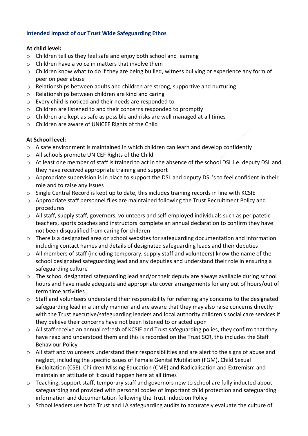# **Intended Impact of our Trust Wide Safeguarding Ethos**

# **At child level:**

- o Children tell us they feel safe and enjoy both school and learning
- o Children have a voice in matters that involve them
- o Children know what to do if they are being bullied, witness bullying or experience any form of peer on peer abuse
- o Relationships between adults and children are strong, supportive and nurturing
- o Relationships between children are kind and caring
- o Every child is noticed and their needs are responded to
- o Children are listened to and their concerns responded to promptly
- $\circ$  Children are kept as safe as possible and risks are well managed at all times
- o Children are aware of UNICEF Rights of the Child

# **At School level:**

- $\circ$  A safe environment is maintained in which children can learn and develop confidently
- o All schools promote UNICEF Rights of the Child
- o At least one member of staff is trained to act in the absence of the school DSL i.e. deputy DSL and they have received appropriate training and support
- o Appropriate supervision is in place to support the DSL and deputy DSL's to feel confident in their role and to raise any issues
- o Single Central Record is kept up to date, this includes training records in line with KCSIE
- $\circ$  Appropriate staff personnel files are maintained following the Trust Recruitment Policy and procedures
- o All staff, supply staff, governors, volunteers and self-employed individuals such as peripatetic teachers, sports coaches and instructors complete an annual declaration to confirm they have not been disqualified from caring for children
- $\circ$  There is a designated area on school websites for safeguarding documentation and information including contact names and details of designated safeguarding leads and their deputies
- o All members of staff (including temporary, supply staff and volunteers) know the name of the school designated safeguarding lead and any deputies and understand their role in ensuring a safeguarding culture
- o The school designated safeguarding lead and/or their deputy are always available during school hours and have made adequate and appropriate cover arrangements for any out of hours/out of term time activities
- $\circ$  Staff and volunteers understand their responsibility for referring any concerns to the designated safeguarding lead in a timely manner and are aware that they may also raise concerns directly with the Trust executive/safeguarding leaders and local authority children's social care services if they believe their concerns have not been listened to or acted upon
- $\circ$  All staff receive an annual refresh of KCSIE and Trust safeguarding polies, they confirm that they have read and understood them and this is recorded on the Trust SCR, this includes the Staff Behaviour Policy
- o All staff and volunteers understand their responsibilities and are alert to the signs of abuse and neglect, including the specific issues of Female Genital Mutilation (FGM), Child Sexual Exploitation (CSE), Children Missing Education (CME) and Radicalisation and Extremism and maintain an attitude of it could happen here at all times
- o Teaching, support staff, temporary staff and governors new to school are fully inducted about safeguarding and provided with personal copies of important child protection and safeguarding information and documentation following the Trust Induction Policy
- $\circ$  School leaders use both Trust and LA safeguarding audits to accurately evaluate the culture of